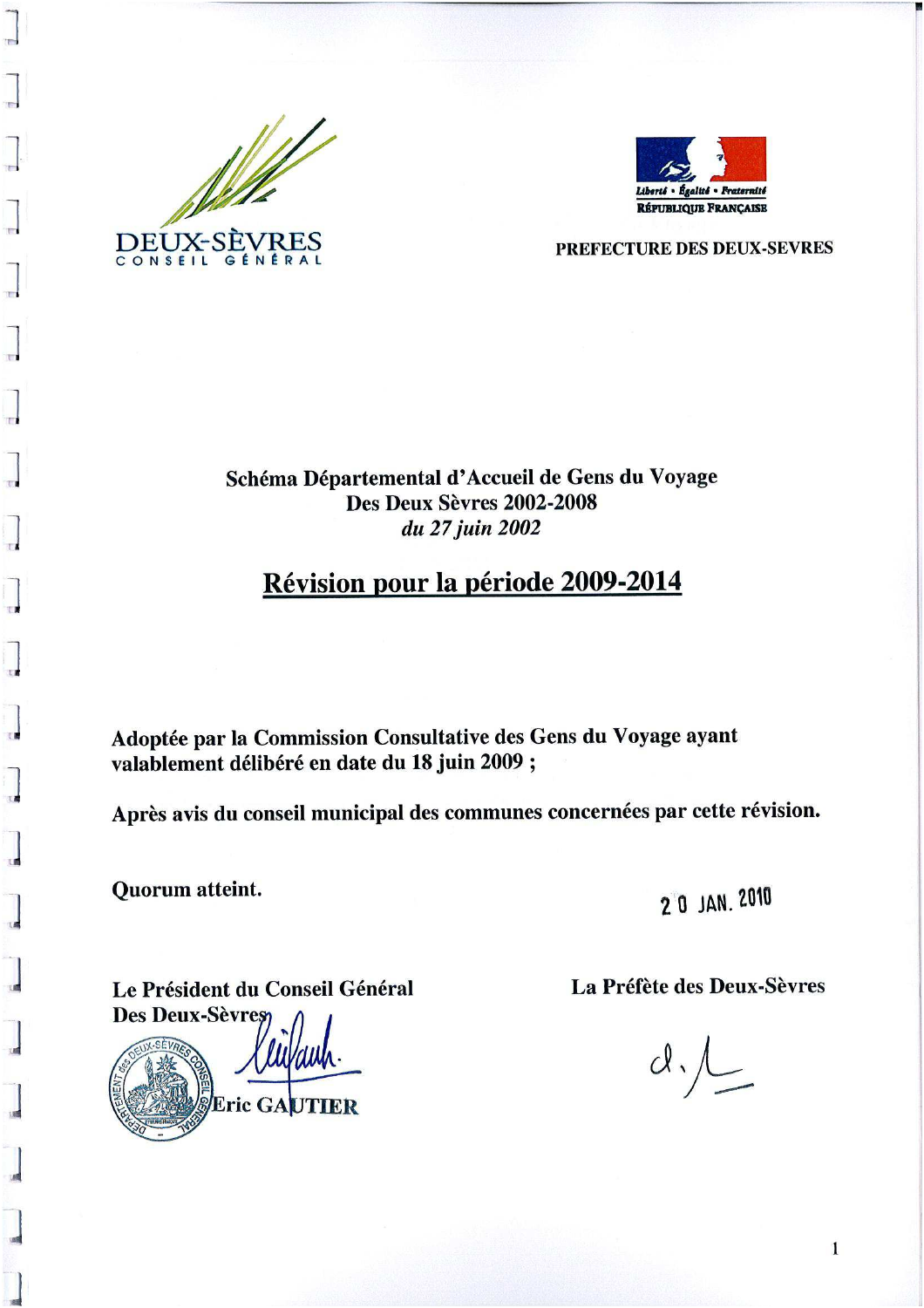

 $\overline{\phantom{a}}$ 



PREFECTURE DES DEUX-SEVRES

# Schéma Départemental d'Accueil de Gens du Voyage **Des Deux Sèvres 2002-2008** du 27 juin 2002

# Révision pour la période 2009-2014

Adoptée par la Commission Consultative des Gens du Voyage ayant valablement délibéré en date du 18 juin 2009 ;

Après avis du conseil municipal des communes concernées par cette révision.

Quorum atteint.

2 0 JAN. 2010

Le Président du Conseil Général **Des Deux-Sèvres** 



La Préfète des Deux-Sèvres

 $d.$ 

 $\mathbf{1}$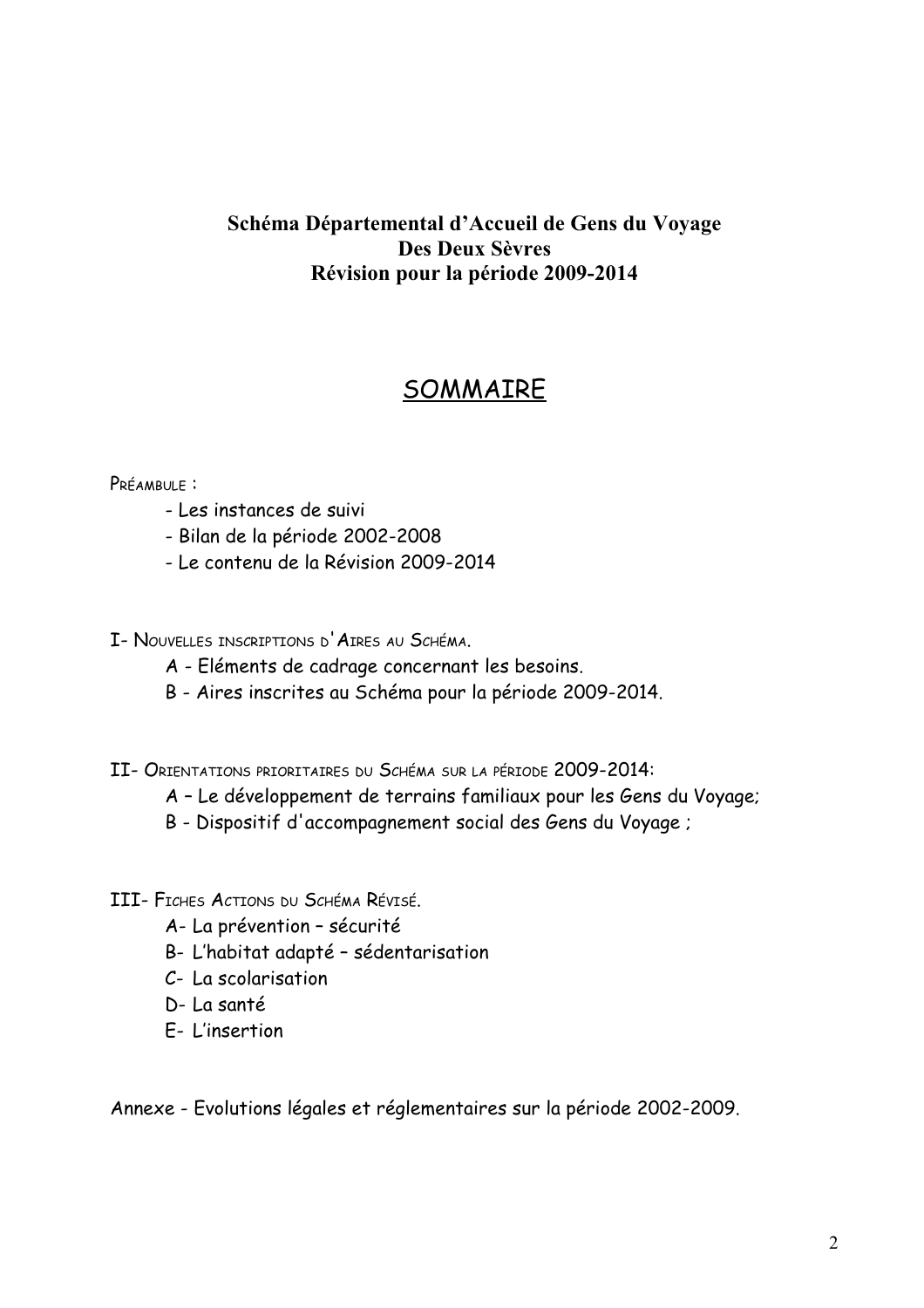# Schéma Départemental d'Accueil de Gens du Voyage **Des Deux Sèvres** Révision pour la période 2009-2014

# SOMMAIRE

## PRÉAMBULE :

- Les instances de suivi
- Bilan de la période 2002-2008
- Le contenu de la Révision 2009-2014
- I- NOUVELLES INSCRIPTIONS D'AIRES AU SCHÉMA.
	- A Eléments de cadrage concernant les besoins.
	- B Aires inscrites au Schéma pour la période 2009-2014.
- II- ORIENTATIONS PRIORITAIRES DU SCHÉMA SUR LA PÉRIODE 2009-2014:
	- A Le développement de terrains familiaux pour les Gens du Voyage;
	- B Dispositif d'accompagnement social des Gens du Voyage;
- III- FICHES ACTIONS DU SCHÉMA RÉVISÉ.
	- A- La prévention sécurité
	- B- L'habitat adapté sédentarisation
	- C- La scolarisation
	- D- La santé
	- F-I'insertion

Annexe - Evolutions légales et réglementaires sur la période 2002-2009.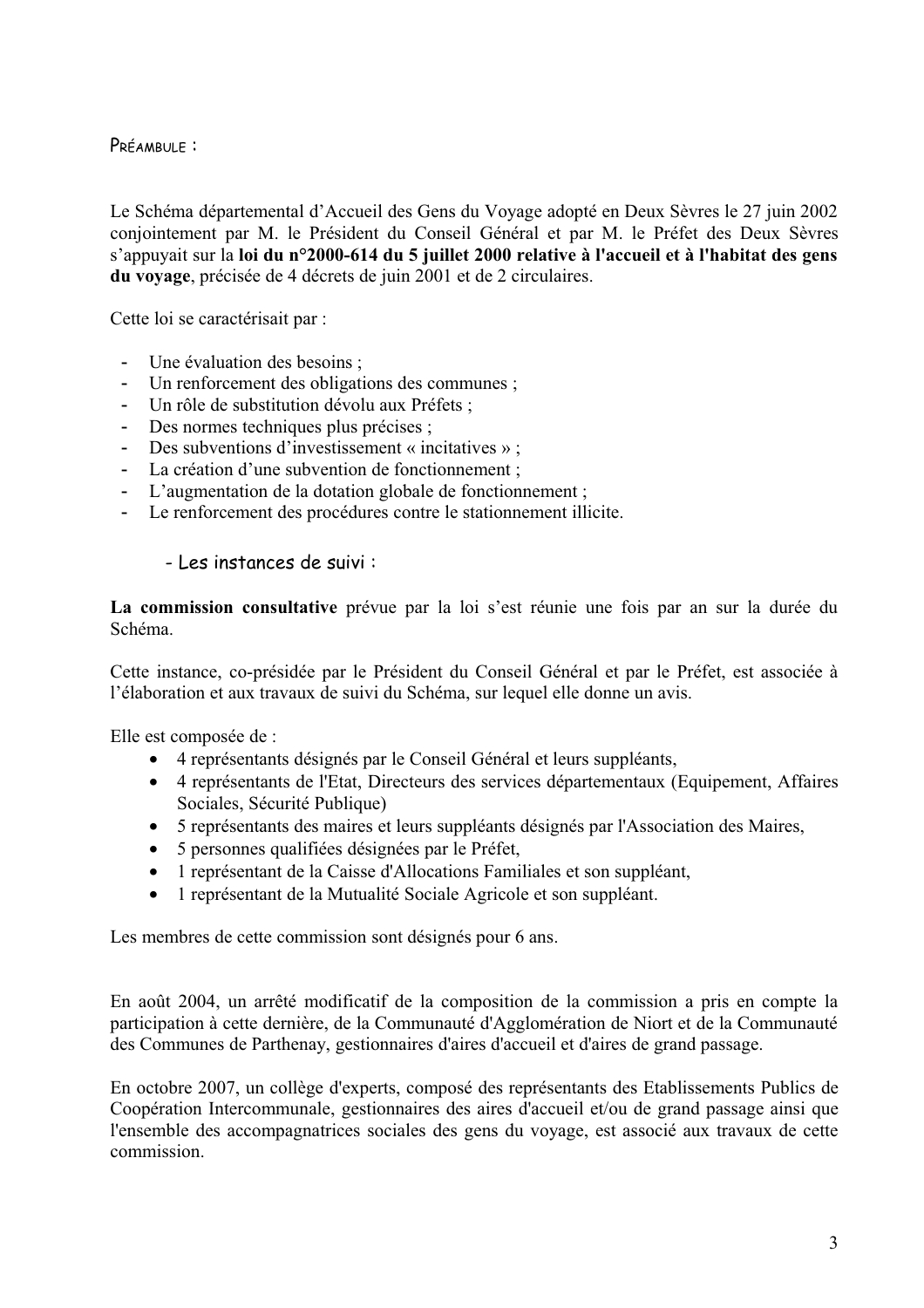PRÉAMBULE :

Le Schéma départemental d'Accueil des Gens du Voyage adopté en Deux Sèvres le 27 juin 2002 conjointement par M. le Président du Conseil Général et par M. le Préfet des Deux Sèvres s'appuvait sur la loi du n°2000-614 du 5 juillet 2000 relative à l'accueil et à l'habitat des gens du voyage, précisée de 4 décrets de juin 2001 et de 2 circulaires.

Cette loi se caractérisait par :

- Une évaluation des besoins ;  $\Delta \phi$
- Un renforcement des obligations des communes ;
- Un rôle de substitution dévolu aux Préfets :  $\omega$  .
- Des normes techniques plus précises ;
- Des subventions d'investissement « incitatives » ;  $\omega_{\rm c}$
- La création d'une subvention de fonctionnement :
- L'augmentation de la dotation globale de fonctionnement ;  $\sim$
- Le renforcement des procédures contre le stationnement illicite.

### - Les instances de suivi :

La commission consultative prévue par la loi s'est réunie une fois par an sur la durée du Schéma

Cette instance, co-présidée par le Président du Conseil Général et par le Préfet, est associée à l'élaboration et aux travaux de suivi du Schéma, sur lequel elle donne un avis.

Elle est composée de :

- 4 représentants désignés par le Conseil Général et leurs suppléants,
- 4 représentants de l'Etat, Directeurs des services départementaux (Equipement, Affaires Sociales, Sécurité Publique)
- 5 représentants des maires et leurs suppléants désignés par l'Association des Maires,
- 5 personnes qualifiées désignées par le Préfet,
- 1 représentant de la Caisse d'Allocations Familiales et son suppléant,
- 1 représentant de la Mutualité Sociale Agricole et son suppléant.

Les membres de cette commission sont désignés pour 6 ans.

En août 2004, un arrêté modificatif de la composition de la commission a pris en compte la participation à cette dernière, de la Communauté d'Agglomération de Niort et de la Communauté des Communes de Parthenay, gestionnaires d'aires d'accueil et d'aires de grand passage.

En octobre 2007, un collège d'experts, composé des représentants des Etablissements Publics de Coopération Intercommunale, gestionnaires des aires d'accueil et/ou de grand passage ainsi que l'ensemble des accompagnatrices sociales des gens du voyage, est associé aux travaux de cette commission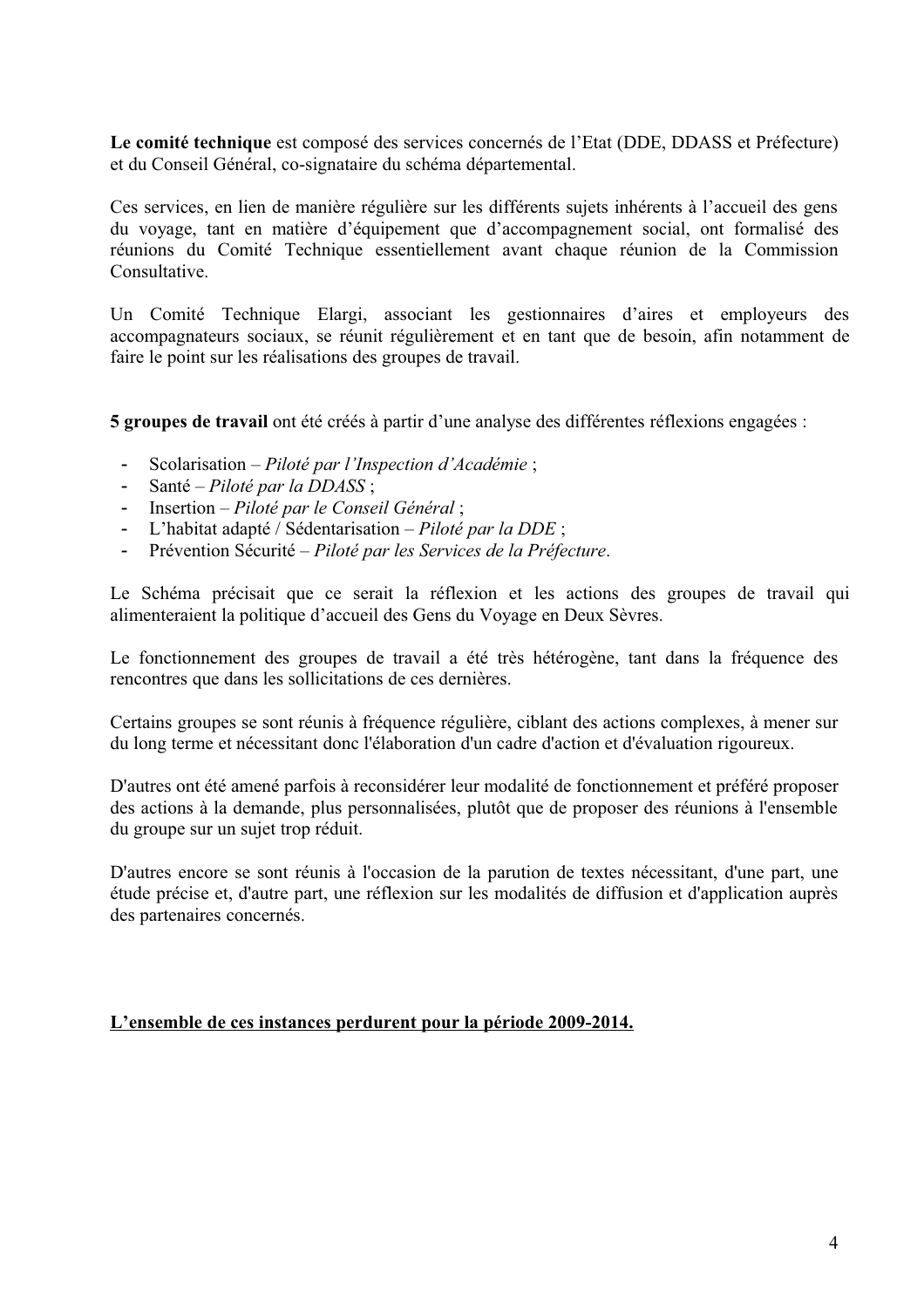Le comité technique est composé des services concernés de l'Etat (DDE, DDASS et Préfecture) et du Conseil Général, co-signataire du schéma départemental.

Ces services, en lien de manière régulière sur les différents sujets inhérents à l'accueil des gens du voyage, tant en matière d'équipement que d'accompagnement social, ont formalisé des réunions du Comité Technique essentiellement avant chaque réunion de la Commission Consultative

Un Comité Technique Elargi, associant les gestionnaires d'aires et employeurs des accompagnateurs sociaux, se réunit régulièrement et en tant que de besoin, afin notamment de faire le point sur les réalisations des groupes de travail.

5 groupes de travail ont été créés à partir d'une analyse des différentes réflexions engagées :

- Scolarisation Piloté par l'Inspection d'Académie;  $\sim$   $^{-1}$
- Santé Piloté par la DDASS;
- $\omega_{\rm{eff}}$ Insertion - Piloté par le Conseil Général;
- L'habitat adapté / Sédentarisation Piloté par la DDE;
- Prévention Sécurité Piloté par les Services de la Préfecture.

Le Schéma précisait que ce serait la réflexion et les actions des groupes de travail qui alimenteraient la politique d'accueil des Gens du Voyage en Deux Sèvres.

Le fonctionnement des groupes de travail a été très hétérogène, tant dans la fréquence des rencontres que dans les sollicitations de ces dernières.

Certains groupes se sont réunis à fréquence régulière, ciblant des actions complexes, à mener sur du long terme et nécessitant donc l'élaboration d'un cadre d'action et d'évaluation rigoureux.

D'autres ont été amené parfois à reconsidérer leur modalité de fonctionnement et préféré proposer des actions à la demande, plus personnalisées, plutôt que de proposer des réunions à l'ensemble du groupe sur un sujet trop réduit.

D'autres encore se sont réunis à l'occasion de la parution de textes nécessitant, d'une part, une étude précise et, d'autre part, une réflexion sur les modalités de diffusion et d'application auprès des partenaires concernés.

### L'ensemble de ces instances perdurent pour la période 2009-2014.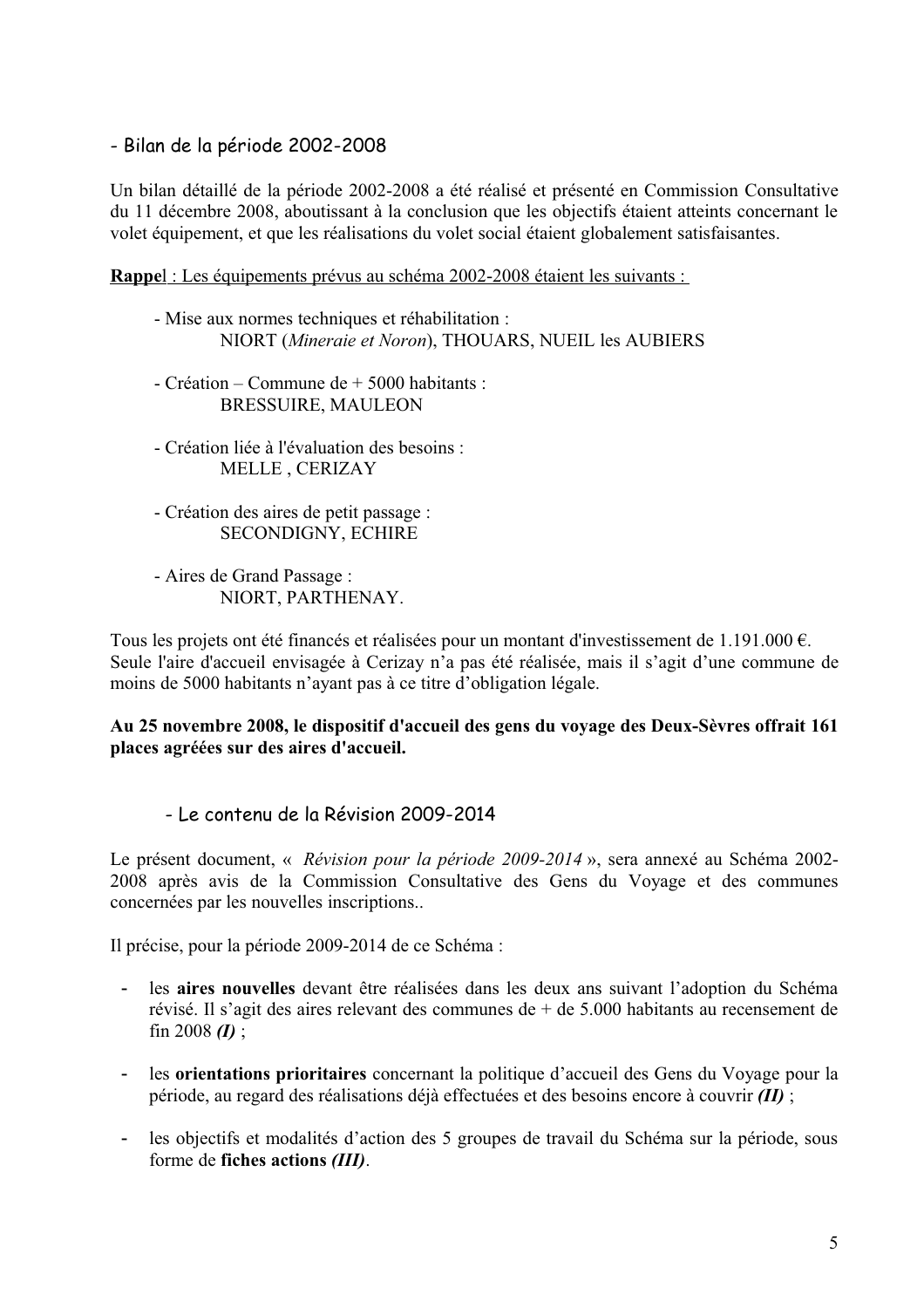# - Bilan de la période 2002-2008

Un bilan détaillé de la période 2002-2008 a été réalisé et présenté en Commission Consultative du 11 décembre 2008, aboutissant à la conclusion que les objectifs étaient atteints concernant le volet équipement, et que les réalisations du volet social étaient globalement satisfaisantes.

Rappel : Les équipements prévus au schéma 2002-2008 étaient les suivants :

- Mise aux normes techniques et réhabilitation : NIORT (Mineraie et Noron), THOUARS, NUEIL les AUBIERS
- Création Commune de + 5000 habitants : **BRESSUIRE, MAULEON**
- Création liée à l'évaluation des besoins : MELLE, CERIZAY
- Création des aires de petit passage : SECONDIGNY, ECHIRE
- Aires de Grand Passage : NIORT, PARTHENAY.

Tous les projets ont été financés et réalisées pour un montant d'investissement de 1.191.000  $\epsilon$ . Seule l'aire d'accueil envisagée à Cerizay n'a pas été réalisée, mais il s'agit d'une commune de moins de 5000 habitants n'ayant pas à ce titre d'obligation légale.

### Au 25 novembre 2008, le dispositif d'accueil des gens du voyage des Deux-Sèvres offrait 161 places agréées sur des aires d'accueil.

- Le contenu de la Révision 2009-2014

Le présent document, « Révision pour la période 2009-2014 », sera annexé au Schéma 2002-2008 après avis de la Commission Consultative des Gens du Voyage et des communes concernées par les nouvelles inscriptions...

Il précise, pour la période 2009-2014 de ce Schéma :

- les aires nouvelles devant être réalisées dans les deux ans suivant l'adoption du Schéma  $\sim$ révisé. Il s'agit des aires relevant des communes de  $+$  de 5.000 habitants au recensement de  $\sin 2008$  *(I)*:
- les orientations prioritaires concernant la politique d'accueil des Gens du Voyage pour la  $\Delta \sim 10^{-10}$ période, au regard des réalisations déjà effectuées et des besoins encore à couvrir  $(II)$ ;
- les objectifs et modalités d'action des 5 groupes de travail du Schéma sur la période, sous forme de fiches actions (III).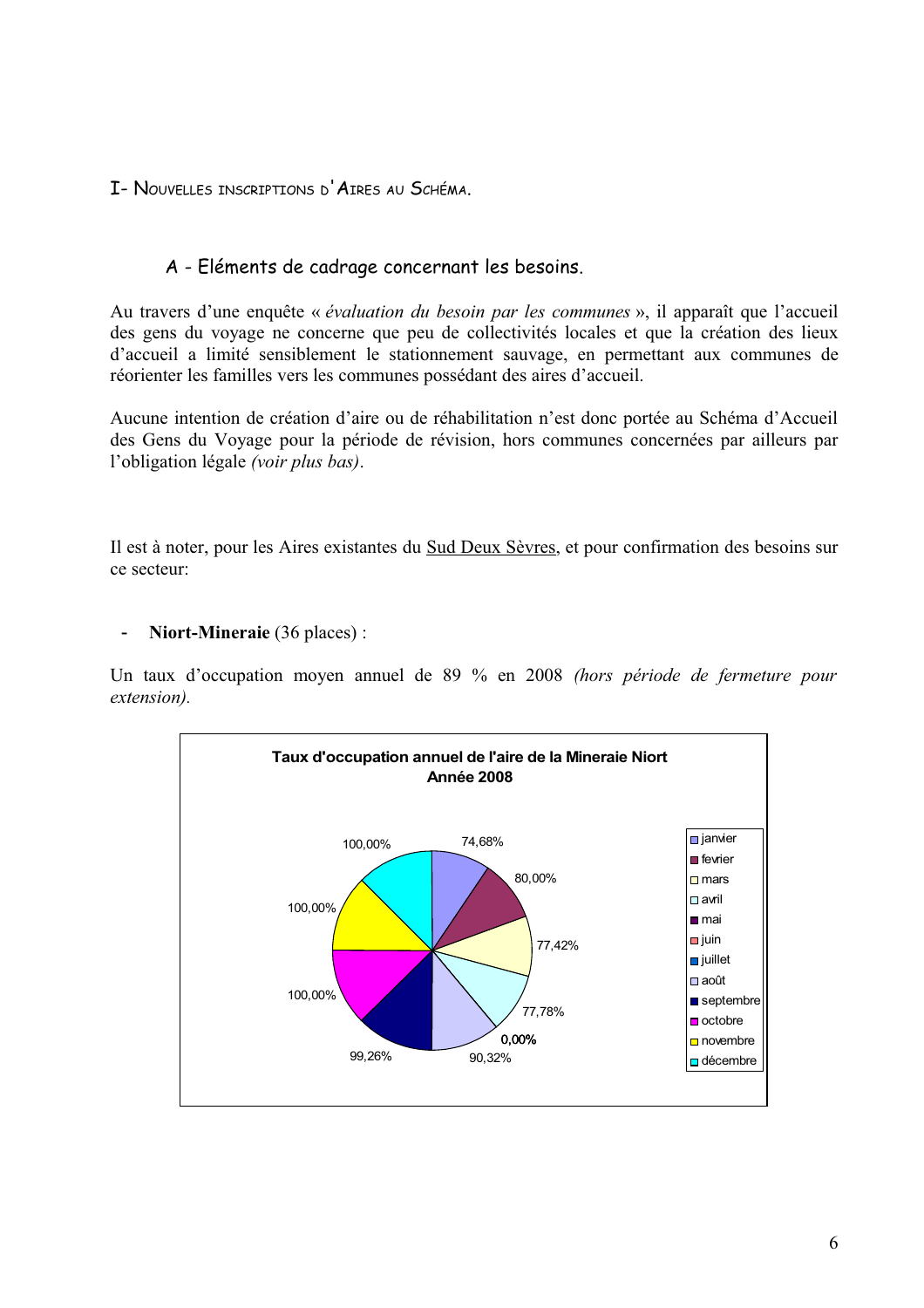I- NOUVELLES INSCRIPTIONS D'AIRES AU SCHÉMA.

# A - Eléments de cadrage concernant les besoins.

Au travers d'une enquête « évaluation du besoin par les communes », il apparaît que l'accueil des gens du voyage ne concerne que peu de collectivités locales et que la création des lieux d'accueil a limité sensiblement le stationnement sauvage, en permettant aux communes de réorienter les familles vers les communes possédant des aires d'accueil.

Aucune intention de création d'aire ou de réhabilitation n'est donc portée au Schéma d'Accueil des Gens du Voyage pour la période de révision, hors communes concernées par ailleurs par l'obligation légale (voir plus bas).

Il est à noter, pour les Aires existantes du Sud Deux Sèvres, et pour confirmation des besoins sur ce secteur<sup>.</sup>

### Niort-Mineraie (36 places):

Un taux d'occupation moyen annuel de 89 % en 2008 (hors période de fermeture pour extension).

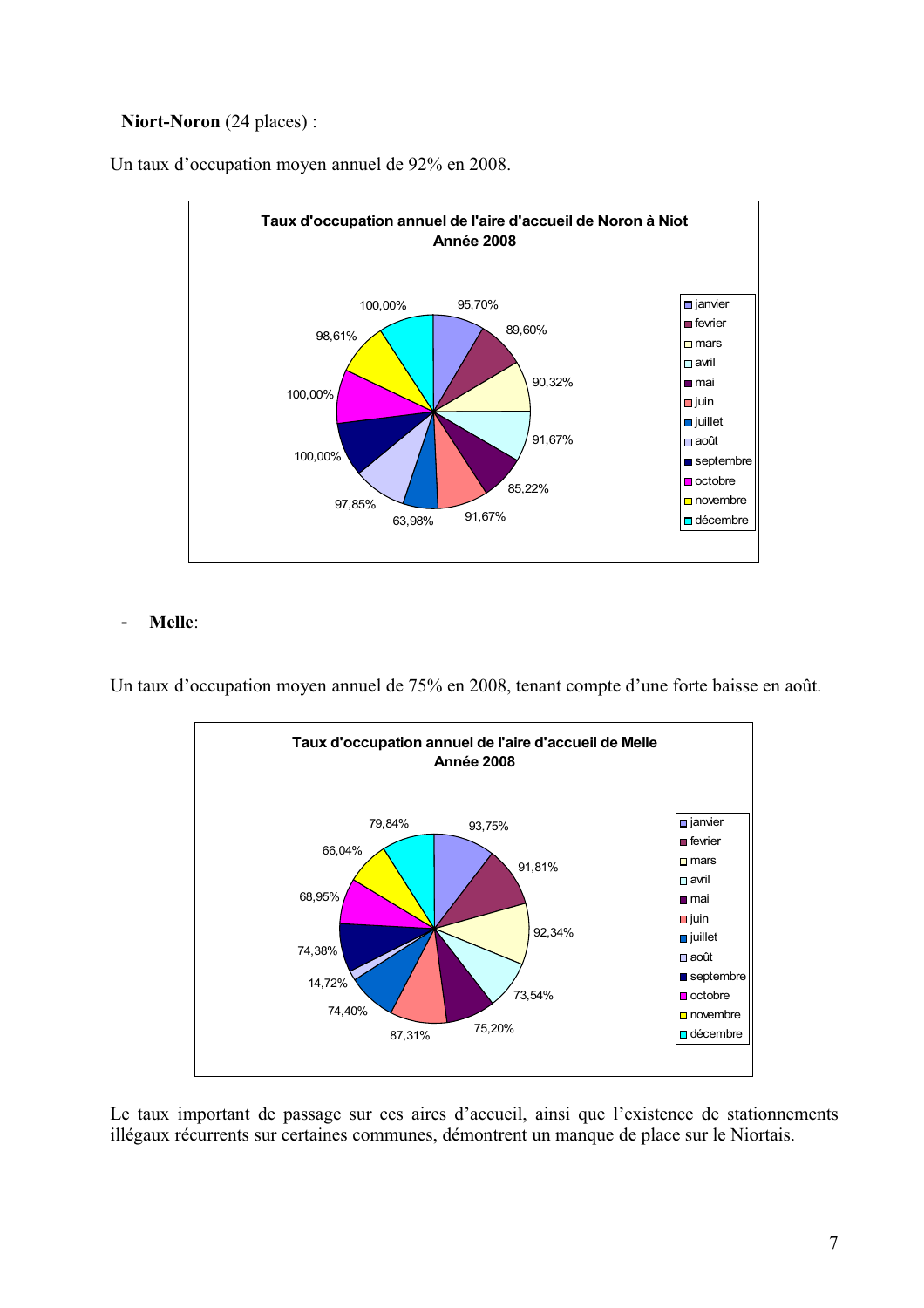### Niort-Noron (24 places):

Un taux d'occupation moyen annuel de 92% en 2008.



#### Melle:  $\overline{a}$

Un taux d'occupation moyen annuel de 75% en 2008, tenant compte d'une forte baisse en août.



Le taux important de passage sur ces aires d'accueil, ainsi que l'existence de stationnements illégaux récurrents sur certaines communes, démontrent un manque de place sur le Niortais.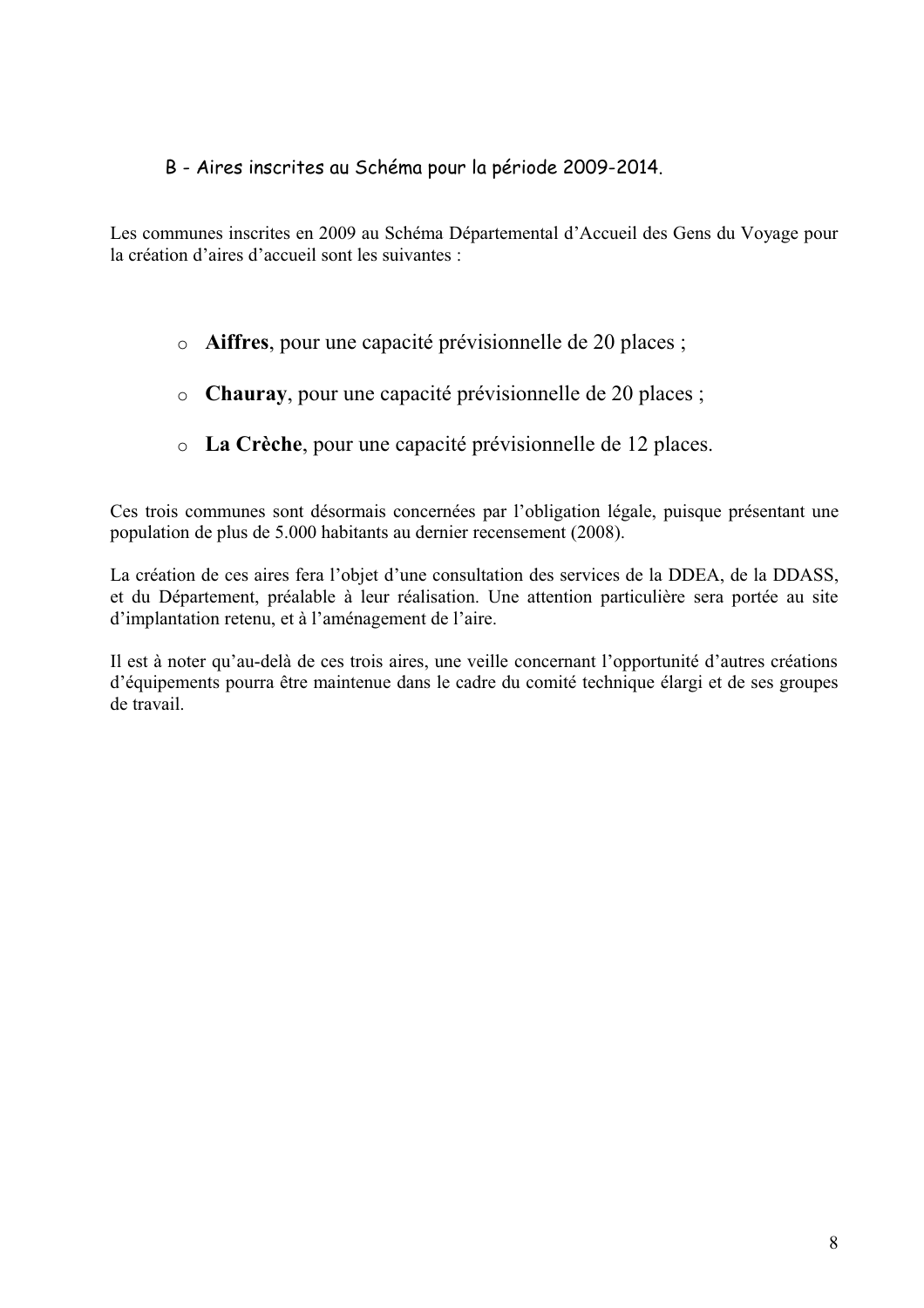## B - Aires inscrites au Schéma pour la période 2009-2014.

Les communes inscrites en 2009 au Schéma Départemental d'Accueil des Gens du Voyage pour la création d'aires d'accueil sont les suivantes :

- o Aiffres, pour une capacité prévisionnelle de 20 places;
- o Chauray, pour une capacité prévisionnelle de 20 places;
- o La Crèche, pour une capacité prévisionnelle de 12 places.

Ces trois communes sont désormais concernées par l'obligation légale, puisque présentant une population de plus de 5.000 habitants au dernier recensement (2008).

La création de ces aires fera l'objet d'une consultation des services de la DDEA, de la DDASS, et du Département, préalable à leur réalisation. Une attention particulière sera portée au site d'implantation retenu, et à l'aménagement de l'aire.

Il est à noter qu'au-delà de ces trois aires, une veille concernant l'opportunité d'autres créations d'équipements pourra être maintenue dans le cadre du comité technique élargi et de ses groupes de travail.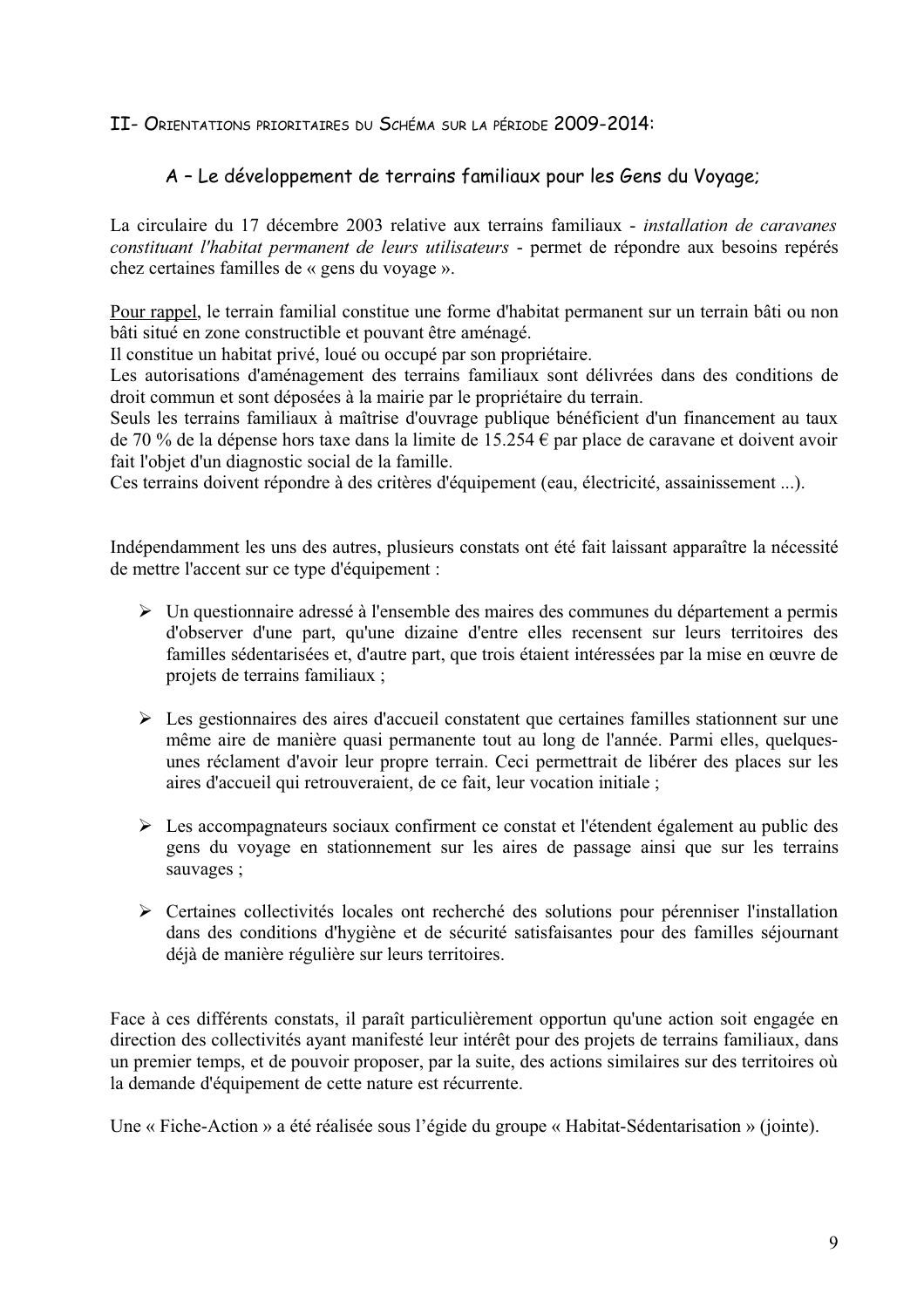### II- ORIENTATIONS PRIORITAIRES DU SCHÉMA SUR LA PÉRIODE 2009-2014:

# A - Le développement de terrains familiaux pour les Gens du Voyage;

La circulaire du 17 décembre 2003 relative aux terrains familiaux - *installation de caravanes* constituant l'habitat permanent de leurs utilisateurs - permet de répondre aux besoins repérés chez certaines familles de « gens du voyage ».

Pour rappel, le terrain familial constitue une forme d'habitat permanent sur un terrain bâti ou non bâti situé en zone constructible et pouvant être aménagé.

Il constitue un habitat privé, loué ou occupé par son propriétaire.

Les autorisations d'aménagement des terrains familiaux sont délivrées dans des conditions de droit commun et sont déposées à la mairie par le propriétaire du terrain.

Seuls les terrains familiaux à maîtrise d'ouvrage publique bénéficient d'un financement au taux de 70 % de la dépense hors taxe dans la limite de 15.254  $\epsilon$  par place de caravane et doivent avoir fait l'objet d'un diagnostic social de la famille.

Ces terrains doivent répondre à des critères d'équipement (eau, électricité, assainissement ...).

Indépendamment les uns des autres, plusieurs constats ont été fait laissant apparaître la nécessité de mettre l'accent sur ce type d'équipement :

- > Un questionnaire adressé à l'ensemble des maires des communes du département a permis d'observer d'une part, qu'une dizaine d'entre elles recensent sur leurs territoires des familles sédentarisées et, d'autre part, que trois étaient intéressées par la mise en œuvre de projets de terrains familiaux :
- $\triangleright$  Les gestionnaires des aires d'accueil constatent que certaines familles stationnent sur une même aire de manière quasi permanente tout au long de l'année. Parmi elles, quelquesunes réclament d'avoir leur propre terrain. Ceci permettrait de libérer des places sur les aires d'accueil qui retrouveraient, de ce fait, leur vocation initiale;
- Eles accompagnateurs sociaux confirment ce constat et l'étendent également au public des gens du voyage en stationnement sur les aires de passage ainsi que sur les terrains sauvages;
- > Certaines collectivités locales ont recherché des solutions pour pérenniser l'installation dans des conditions d'hygiène et de sécurité satisfaisantes pour des familles séjournant déjà de manière régulière sur leurs territoires.

Face à ces différents constats, il paraît particulièrement opportun qu'une action soit engagée en direction des collectivités ayant manifesté leur intérêt pour des projets de terrains familiaux, dans un premier temps, et de pouvoir proposer, par la suite, des actions similaires sur des territoires où la demande d'équipement de cette nature est récurrente.

Une « Fiche-Action » a été réalisée sous l'égide du groupe « Habitat-Sédentarisation » (jointe).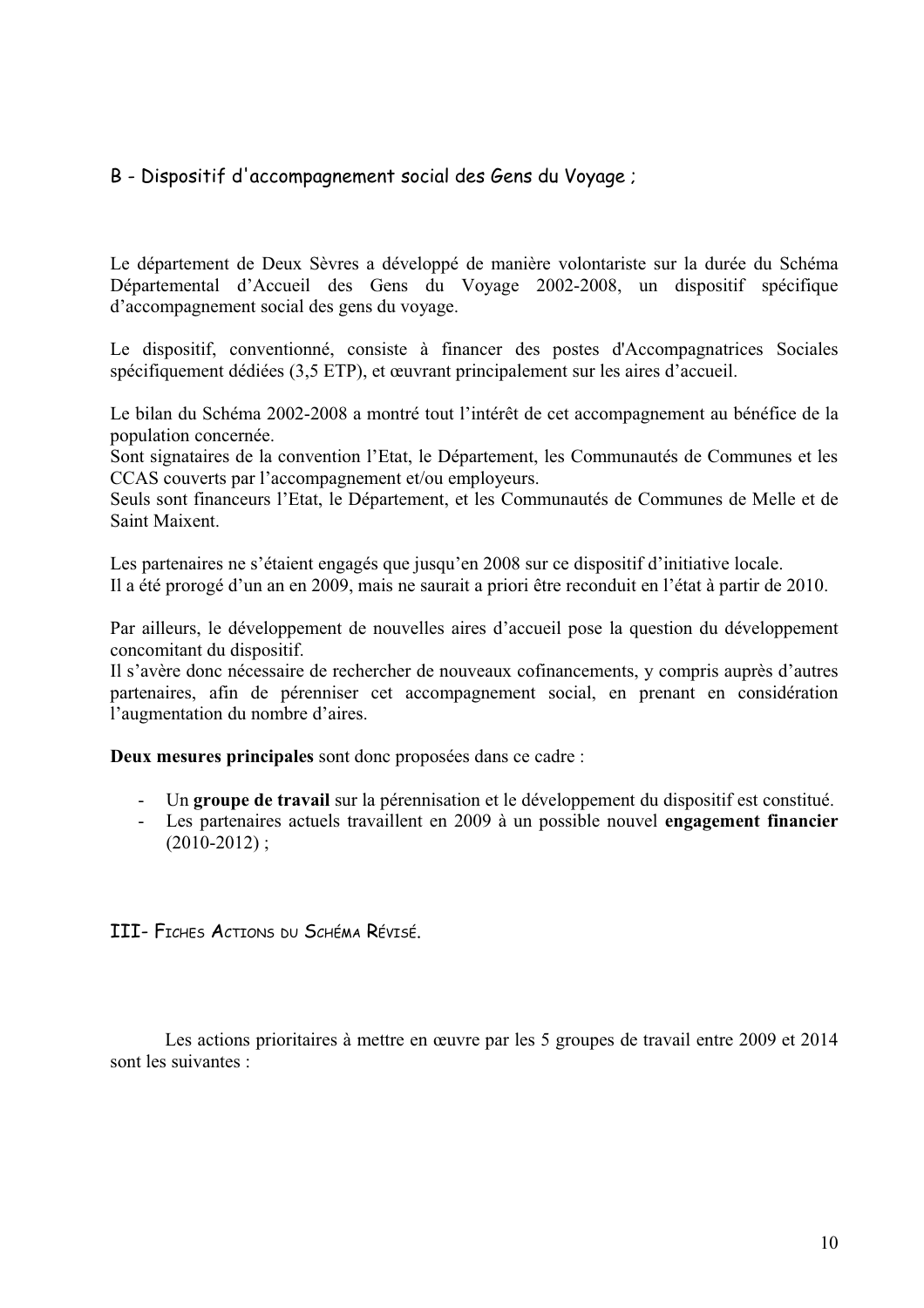# B - Dispositif d'accompagnement social des Gens du Voyage;

Le département de Deux Sèvres a développé de manière volontariste sur la durée du Schéma Départemental d'Accueil des Gens du Voyage 2002-2008, un dispositif spécifique d'accompagnement social des gens du voyage.

Le dispositif, conventionné, consiste à financer des postes d'Accompagnatrices Sociales spécifiquement dédiées (3,5 ETP), et œuvrant principalement sur les aires d'accueil.

Le bilan du Schéma 2002-2008 a montré tout l'intérêt de cet accompagnement au bénéfice de la population concernée.

Sont signataires de la convention l'Etat, le Département, les Communautés de Communes et les CCAS couverts par l'accompagnement et/ou employeurs.

Seuls sont financeurs l'Etat, le Département, et les Communautés de Communes de Melle et de Saint Maixent.

Les partenaires ne s'étaient engagés que jusqu'en 2008 sur ce dispositif d'initiative locale. Il a été prorogé d'un an en 2009, mais ne saurait a priori être reconduit en l'état à partir de 2010.

Par ailleurs, le développement de nouvelles aires d'accueil pose la question du développement concomitant du dispositif.

Il s'avère donc nécessaire de rechercher de nouveaux cofinancements, y compris auprès d'autres partenaires, afin de pérenniser cet accompagnement social, en prenant en considération l'augmentation du nombre d'aires.

Deux mesures principales sont donc proposées dans ce cadre :

- Un groupe de travail sur la pérennisation et le développement du dispositif est constitué.
- Les partenaires actuels travaillent en 2009 à un possible nouvel engagement financier  $(2010-2012)$ ;

III- FICHES ACTIONS DU SCHÉMA RÉVISÉ.

Les actions prioritaires à mettre en œuvre par les 5 groupes de travail entre 2009 et 2014 sont les suivantes :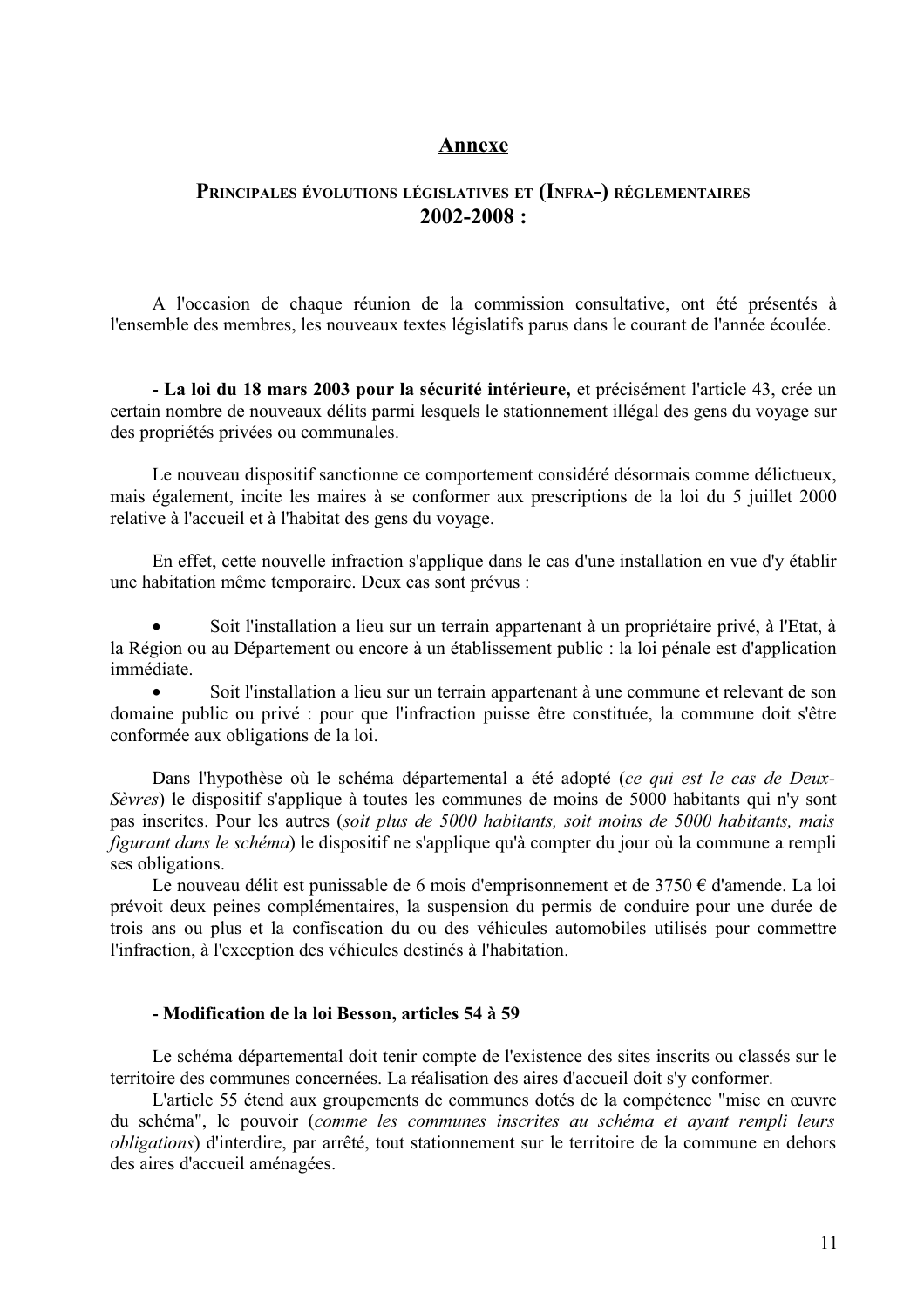### Annexe

### PRINCIPALES ÉVOLUTIONS LÉGISLATIVES ET (INFRA-) RÉGLEMENTAIRES  $2002 - 2008:$

A l'occasion de chaque réunion de la commission consultative, ont été présentés à l'ensemble des membres, les nouveaux textes législatifs parus dans le courant de l'année écoulée.

- La loi du 18 mars 2003 pour la sécurité intérieure, et précisément l'article 43, crée un certain nombre de nouveaux délits parmi lesquels le stationnement illégal des gens du voyage sur des propriétés privées ou communales.

Le nouveau dispositif sanctionne ce comportement considéré désormais comme délictueux, mais également, incite les maires à se conformer aux prescriptions de la loi du 5 juillet 2000 relative à l'accueil et à l'habitat des gens du voyage.

En effet, cette nouvelle infraction s'applique dans le cas d'une installation en vue d'y établir une habitation même temporaire. Deux cas sont prévus :

Soit l'installation a lieu sur un terrain appartenant à un propriétaire privé, à l'Etat, à la Région ou au Département ou encore à un établissement public : la loi pénale est d'application immédiate.

Soit l'installation a lieu sur un terrain appartenant à une commune et relevant de son domaine public ou privé : pour que l'infraction puisse être constituée, la commune doit s'être conformée aux obligations de la loi.

Dans l'hypothèse où le schéma départemental a été adopté (ce qui est le cas de Deux-Sèvres) le dispositif s'applique à toutes les communes de moins de 5000 habitants qui n'y sont pas inscrites. Pour les autres (soit plus de 5000 habitants, soit moins de 5000 habitants, mais *figurant dans le schéma*) le dispositif ne s'applique qu'à compter du jour où la commune a rempli ses obligations.

Le nouveau délit est punissable de 6 mois d'emprisonnement et de  $3750 \text{ } \in$  d'amende. La loi prévoit deux peines complémentaires, la suspension du permis de conduire pour une durée de trois ans ou plus et la confiscation du ou des véhicules automobiles utilisés pour commettre l'infraction, à l'exception des véhicules destinés à l'habitation.

### - Modification de la loi Besson, articles 54 à 59

Le schéma départemental doit tenir compte de l'existence des sites inscrits ou classés sur le territoire des communes concernées. La réalisation des aires d'accueil doit s'y conformer.

L'article 55 étend aux groupements de communes dotés de la compétence "mise en œuvre du schéma", le pouvoir (comme les communes inscrites au schéma et ayant rempli leurs *obligations*) d'interdire, par arrêté, tout stationnement sur le territoire de la commune en dehors des aires d'accueil aménagées.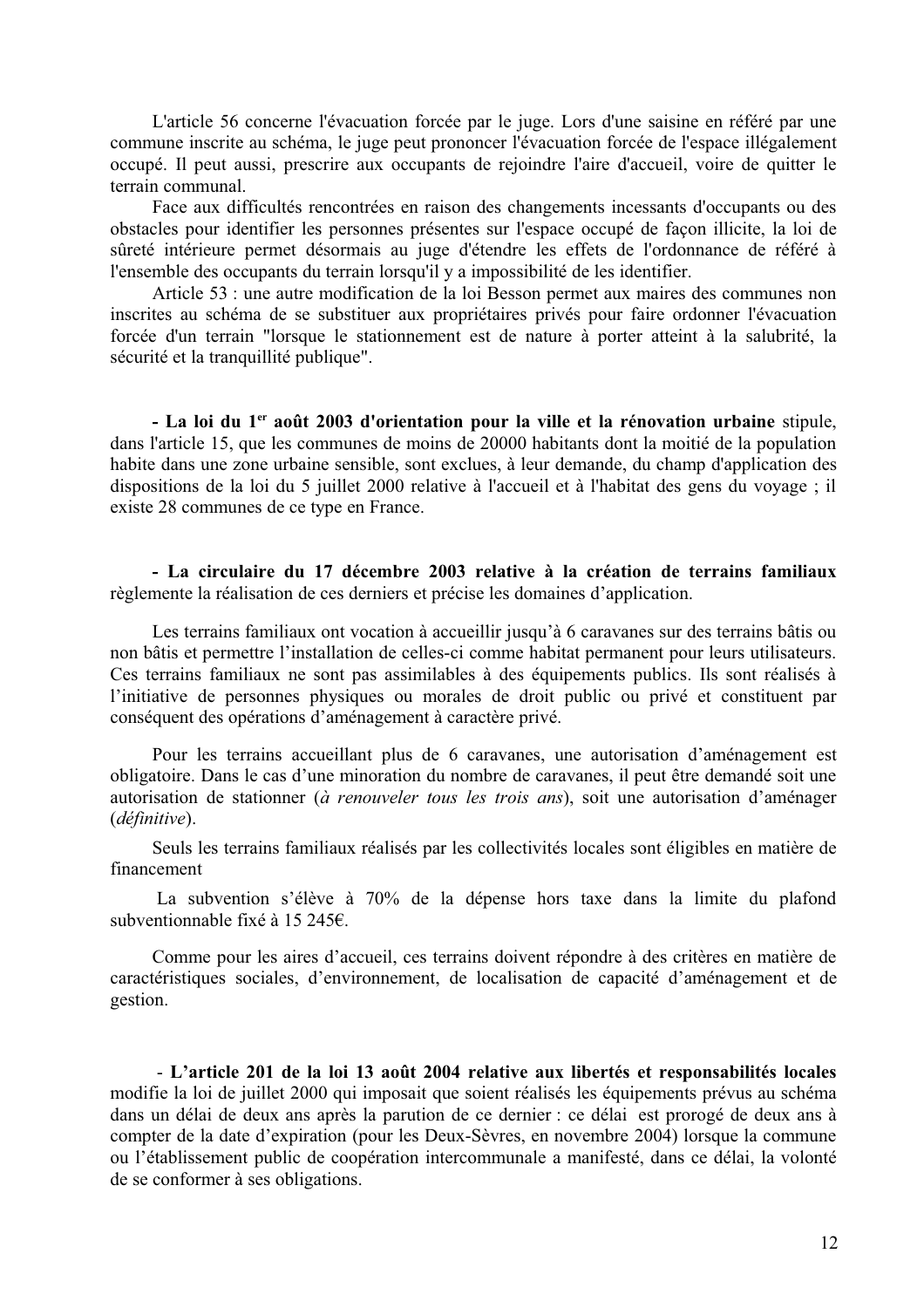L'article 56 concerne l'évacuation forcée par le juge. Lors d'une saisine en référé par une commune inscrite au schéma, le juge peut prononcer l'évacuation forcée de l'espace illégalement occupé. Il peut aussi, prescrire aux occupants de rejoindre l'aire d'accueil, voire de quitter le terrain communal.

Face aux difficultés rencontrées en raison des changements incessants d'occupants ou des obstacles pour identifier les personnes présentes sur l'espace occupé de façon illicite, la loi de sûreté intérieure permet désormais au juge d'étendre les effets de l'ordonnance de référé à l'ensemble des occupants du terrain lorsqu'il y a impossibilité de les identifier.

Article 53 : une autre modification de la loi Besson permet aux maires des communes non inscrites au schéma de se substituer aux propriétaires privés pour faire ordonner l'évacuation forcée d'un terrain "lorsque le stationnement est de nature à porter atteint à la salubrité, la sécurité et la tranquillité publique".

- La loi du 1<sup>er</sup> août 2003 d'orientation pour la ville et la rénovation urbaine stipule, dans l'article 15, que les communes de moins de 20000 habitants dont la moitié de la population habite dans une zone urbaine sensible, sont exclues, à leur demande, du champ d'application des dispositions de la loi du 5 juillet 2000 relative à l'accueil et à l'habitat des gens du voyage ; il existe 28 communes de ce type en France.

- La circulaire du 17 décembre 2003 relative à la création de terrains familiaux règlemente la réalisation de ces derniers et précise les domaines d'application.

Les terrains familiaux ont vocation à accueillir jusqu'à 6 caravanes sur des terrains bâtis ou non bâtis et permettre l'installation de celles-ci comme habitat permanent pour leurs utilisateurs. Ces terrains familiaux ne sont pas assimilables à des équipements publics. Ils sont réalisés à l'initiative de personnes physiques ou morales de droit public ou privé et constituent par conséquent des opérations d'aménagement à caractère privé.

Pour les terrains accueillant plus de 6 caravanes, une autorisation d'aménagement est obligatoire. Dans le cas d'une minoration du nombre de caravanes, il peut être demandé soit une autorisation de stationner (à renouveler tous les trois ans), soit une autorisation d'aménager (définitive).

Seuls les terrains familiaux réalisés par les collectivités locales sont éligibles en matière de financement

La subvention s'élève à 70% de la dépense hors taxe dans la limite du plafond subventionnable fixé à 15 245€.

Comme pour les aires d'accueil, ces terrains doivent répondre à des critères en matière de caractéristiques sociales, d'environnement, de localisation de capacité d'aménagement et de gestion.

- L'article 201 de la loi 13 août 2004 relative aux libertés et responsabilités locales modifie la loi de juillet 2000 qui imposait que soient réalisés les équipements prévus au schéma dans un délai de deux ans après la parution de ce dernier : ce délai est prorogé de deux ans à compter de la date d'expiration (pour les Deux-Sèvres, en novembre 2004) lorsque la commune ou l'établissement public de coopération intercommunale a manifesté, dans ce délai, la volonté de se conformer à ses obligations.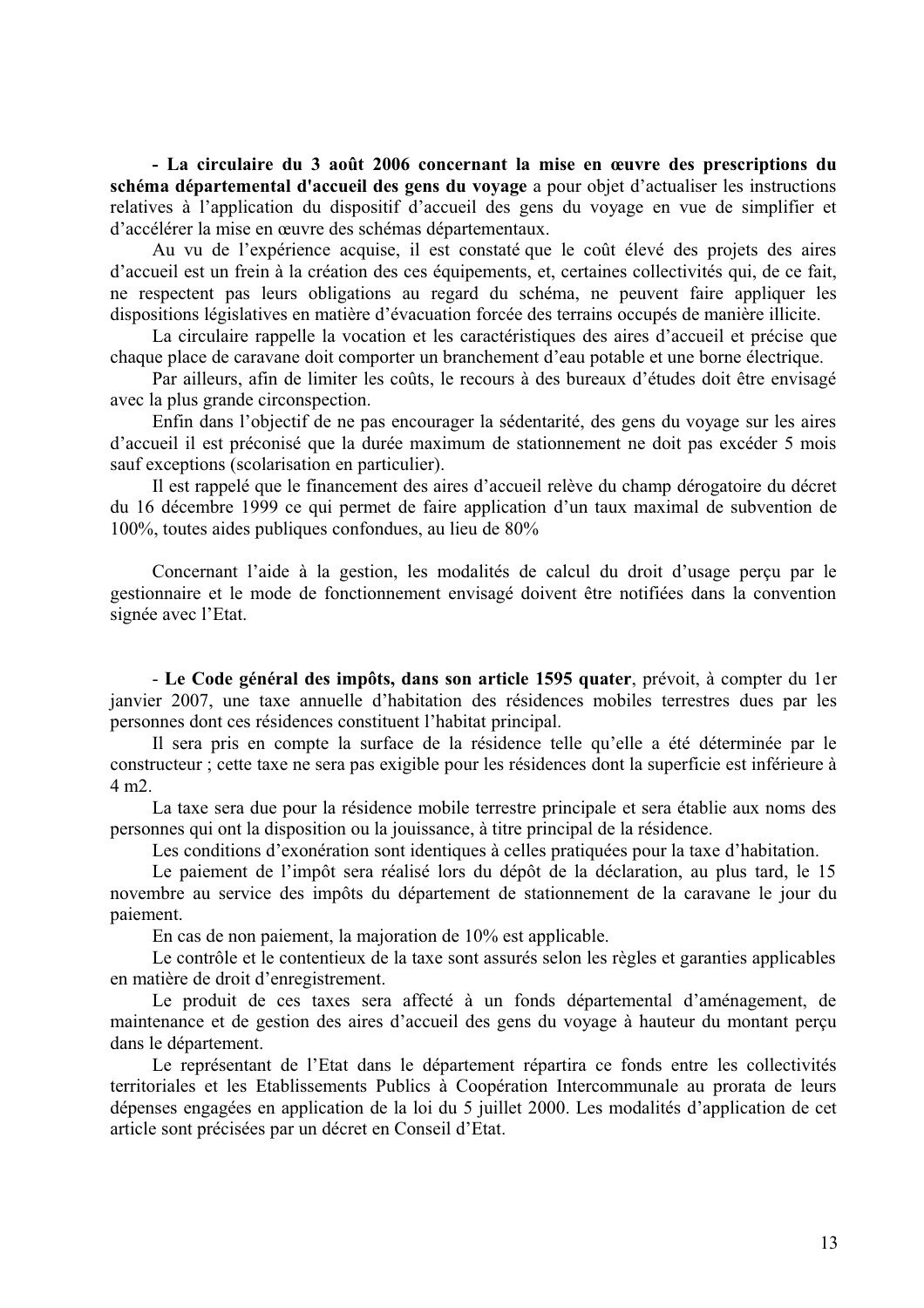- La circulaire du 3 août 2006 concernant la mise en œuvre des prescriptions du schéma départemental d'accueil des gens du voyage a pour objet d'actualiser les instructions relatives à l'application du dispositif d'accueil des gens du voyage en vue de simplifier et d'accélérer la mise en œuvre des schémas départementaux.

Au vu de l'expérience acquise, il est constaté que le coût élevé des projets des aires d'accueil est un frein à la création des ces équipements, et, certaines collectivités qui, de ce fait, ne respectent pas leurs obligations au regard du schéma, ne peuvent faire appliquer les dispositions législatives en matière d'évacuation forcée des terrains occupés de manière illicite.

La circulaire rappelle la vocation et les caractéristiques des aires d'accueil et précise que chaque place de caravane doit comporter un branchement d'eau potable et une borne électrique.

Par ailleurs, afin de limiter les coûts, le recours à des bureaux d'études doit être envisagé avec la plus grande circonspection.

Enfin dans l'objectif de ne pas encourager la sédentarité, des gens du voyage sur les aires d'accueil il est préconisé que la durée maximum de stationnement ne doit pas excéder 5 mois sauf exceptions (scolarisation en particulier).

Il est rappelé que le financement des aires d'accueil relève du champ dérogatoire du décret du 16 décembre 1999 ce qui permet de faire application d'un taux maximal de subvention de 100%, toutes aides publiques confondues, au lieu de 80%

Concernant l'aide à la gestion, les modalités de calcul du droit d'usage percu par le gestionnaire et le mode de fonctionnement envisagé doivent être notifiées dans la convention signée avec l'Etat.

- Le Code général des impôts, dans son article 1595 quater, prévoit, à compter du 1er janvier 2007, une taxe annuelle d'habitation des résidences mobiles terrestres dues par les personnes dont ces résidences constituent l'habitat principal.

Il sera pris en compte la surface de la résidence telle qu'elle a été déterminée par le constructeur ; cette taxe ne sera pas exigible pour les résidences dont la superficie est inférieure à  $4 \text{ m}$ 

La taxe sera due pour la résidence mobile terrestre principale et sera établie aux noms des personnes qui ont la disposition ou la jouissance, à titre principal de la résidence.

Les conditions d'exonération sont identiques à celles pratiquées pour la taxe d'habitation.

Le paiement de l'impôt sera réalisé lors du dépôt de la déclaration, au plus tard, le 15 novembre au service des impôts du département de stationnement de la caravane le jour du paiement.

En cas de non paiement, la majoration de  $10\%$  est applicable.

Le contrôle et le contentieux de la taxe sont assurés selon les règles et garanties applicables en matière de droit d'enregistrement.

Le produit de ces taxes sera affecté à un fonds départemental d'aménagement, de maintenance et de gestion des aires d'accueil des gens du voyage à hauteur du montant perçu dans le département.

Le représentant de l'Etat dans le département répartira ce fonds entre les collectivités territoriales et les Etablissements Publics à Coopération Intercommunale au prorata de leurs dépenses engagées en application de la loi du 5 juillet 2000. Les modalités d'application de cet article sont précisées par un décret en Conseil d'Etat.